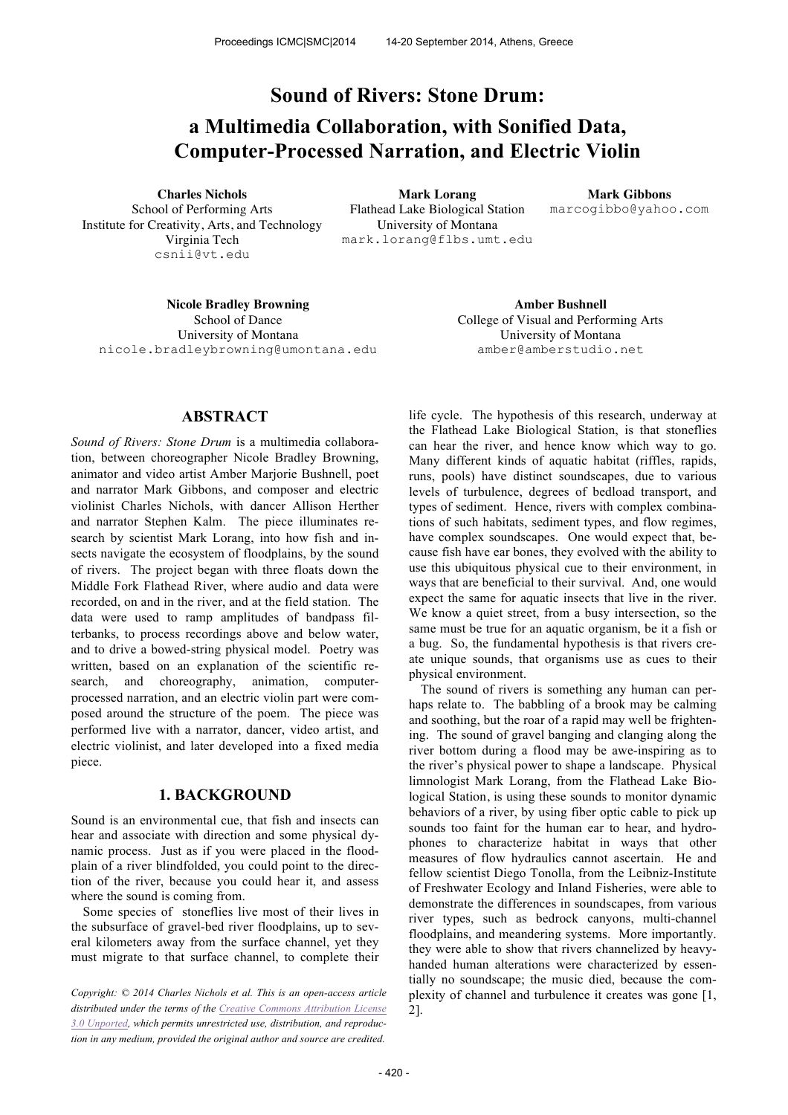# **Sound of Rivers: Stone Drum: a Multimedia Collaboration, with Sonified Data, Computer-Processed Narration, and Electric Violin**

School of Performing Arts Institute for Creativity, Arts, and Technology Virginia Tech csnii@vt.edu

**Charles Nichols Mark Lorang Mark Gibbons** Flathead Lake Biological Station University of Montana mark.lorang@flbs.umt.edu

marcogibbo@yahoo.com

**Nicole Bradley Browning <b>Amber Bushnell** School of Dance University of Montana nicole.bradleybrowning@umontana.edu

College of Visual and Performing Arts University of Montana amber@amberstudio.net

# **ABSTRACT**

*Sound of Rivers: Stone Drum* is a multimedia collaboration, between choreographer Nicole Bradley Browning, animator and video artist Amber Marjorie Bushnell, poet and narrator Mark Gibbons, and composer and electric violinist Charles Nichols, with dancer Allison Herther and narrator Stephen Kalm. The piece illuminates research by scientist Mark Lorang, into how fish and insects navigate the ecosystem of floodplains, by the sound of rivers. The project began with three floats down the Middle Fork Flathead River, where audio and data were recorded, on and in the river, and at the field station. The data were used to ramp amplitudes of bandpass filterbanks, to process recordings above and below water, and to drive a bowed-string physical model. Poetry was written, based on an explanation of the scientific research, and choreography, animation, computerprocessed narration, and an electric violin part were composed around the structure of the poem. The piece was performed live with a narrator, dancer, video artist, and electric violinist, and later developed into a fixed media piece.

## **1. BACKGROUND**

Sound is an environmental cue, that fish and insects can hear and associate with direction and some physical dynamic process. Just as if you were placed in the floodplain of a river blindfolded, you could point to the direction of the river, because you could hear it, and assess where the sound is coming from.

Some species of stoneflies live most of their lives in the subsurface of gravel-bed river floodplains, up to several kilometers away from the surface channel, yet they must migrate to that surface channel, to complete their

life cycle. The hypothesis of this research, underway at the Flathead Lake Biological Station, is that stoneflies can hear the river, and hence know which way to go. Many different kinds of aquatic habitat (riffles, rapids, runs, pools) have distinct soundscapes, due to various levels of turbulence, degrees of bedload transport, and types of sediment. Hence, rivers with complex combinations of such habitats, sediment types, and flow regimes, have complex soundscapes. One would expect that, because fish have ear bones, they evolved with the ability to use this ubiquitous physical cue to their environment, in ways that are beneficial to their survival. And, one would expect the same for aquatic insects that live in the river. We know a quiet street, from a busy intersection, so the same must be true for an aquatic organism, be it a fish or a bug. So, the fundamental hypothesis is that rivers create unique sounds, that organisms use as cues to their physical environment.

The sound of rivers is something any human can perhaps relate to. The babbling of a brook may be calming and soothing, but the roar of a rapid may well be frightening. The sound of gravel banging and clanging along the river bottom during a flood may be awe-inspiring as to the river's physical power to shape a landscape. Physical limnologist Mark Lorang, from the Flathead Lake Biological Station, is using these sounds to monitor dynamic behaviors of a river, by using fiber optic cable to pick up sounds too faint for the human ear to hear, and hydrophones to characterize habitat in ways that other measures of flow hydraulics cannot ascertain. He and fellow scientist Diego Tonolla, from the Leibniz-Institute of Freshwater Ecology and Inland Fisheries, were able to demonstrate the differences in soundscapes, from various river types, such as bedrock canyons, multi-channel floodplains, and meandering systems. More importantly. they were able to show that rivers channelized by heavyhanded human alterations were characterized by essentially no soundscape; the music died, because the complexity of channel and turbulence it creates was gone [1, 2].

*Copyright: © 2014 Charles Nichols et al. This is an open-access article distributed under the terms of the Creative Commons Attribution License 3.0 Unported, which permits unrestricted use, distribution, and reproduction in any medium, provided the original author and source are credited.*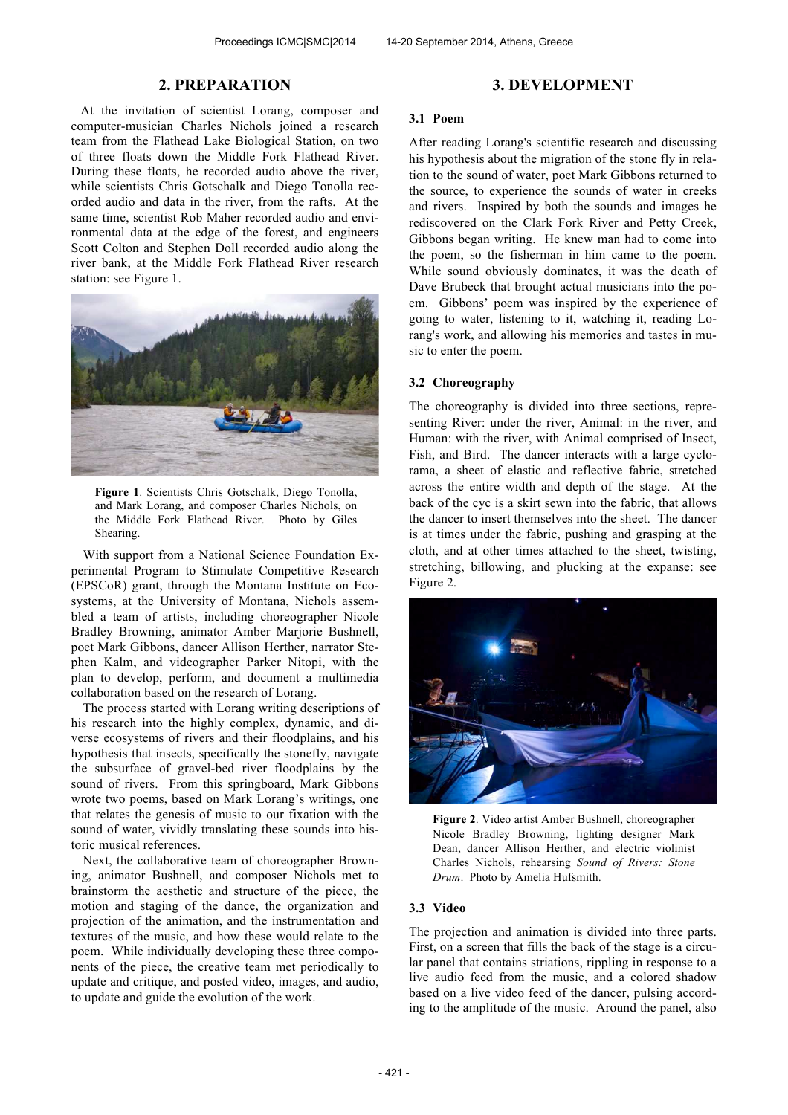## **2. PREPARATION**

At the invitation of scientist Lorang, composer and computer-musician Charles Nichols joined a research team from the Flathead Lake Biological Station, on two of three floats down the Middle Fork Flathead River. During these floats, he recorded audio above the river, while scientists Chris Gotschalk and Diego Tonolla recorded audio and data in the river, from the rafts. At the same time, scientist Rob Maher recorded audio and environmental data at the edge of the forest, and engineers Scott Colton and Stephen Doll recorded audio along the river bank, at the Middle Fork Flathead River research station: see Figure 1.



**Figure 1**. Scientists Chris Gotschalk, Diego Tonolla, and Mark Lorang, and composer Charles Nichols, on the Middle Fork Flathead River. Photo by Giles Shearing.

With support from a National Science Foundation Experimental Program to Stimulate Competitive Research (EPSCoR) grant, through the Montana Institute on Ecosystems, at the University of Montana, Nichols assembled a team of artists, including choreographer Nicole Bradley Browning, animator Amber Marjorie Bushnell, poet Mark Gibbons, dancer Allison Herther, narrator Stephen Kalm, and videographer Parker Nitopi, with the plan to develop, perform, and document a multimedia collaboration based on the research of Lorang.

The process started with Lorang writing descriptions of his research into the highly complex, dynamic, and diverse ecosystems of rivers and their floodplains, and his hypothesis that insects, specifically the stonefly, navigate the subsurface of gravel-bed river floodplains by the sound of rivers. From this springboard, Mark Gibbons wrote two poems, based on Mark Lorang's writings, one that relates the genesis of music to our fixation with the sound of water, vividly translating these sounds into historic musical references.

Next, the collaborative team of choreographer Browning, animator Bushnell, and composer Nichols met to brainstorm the aesthetic and structure of the piece, the motion and staging of the dance, the organization and projection of the animation, and the instrumentation and textures of the music, and how these would relate to the poem. While individually developing these three components of the piece, the creative team met periodically to update and critique, and posted video, images, and audio, to update and guide the evolution of the work.

#### **3. DEVELOPMENT**

#### **3.1 Poem**

After reading Lorang's scientific research and discussing his hypothesis about the migration of the stone fly in relation to the sound of water, poet Mark Gibbons returned to the source, to experience the sounds of water in creeks and rivers. Inspired by both the sounds and images he rediscovered on the Clark Fork River and Petty Creek, Gibbons began writing. He knew man had to come into the poem, so the fisherman in him came to the poem. While sound obviously dominates, it was the death of Dave Brubeck that brought actual musicians into the poem. Gibbons' poem was inspired by the experience of going to water, listening to it, watching it, reading Lorang's work, and allowing his memories and tastes in music to enter the poem.

## **3.2 Choreography**

The choreography is divided into three sections, representing River: under the river, Animal: in the river, and Human: with the river, with Animal comprised of Insect, Fish, and Bird. The dancer interacts with a large cyclorama, a sheet of elastic and reflective fabric, stretched across the entire width and depth of the stage. At the back of the cyc is a skirt sewn into the fabric, that allows the dancer to insert themselves into the sheet. The dancer is at times under the fabric, pushing and grasping at the cloth, and at other times attached to the sheet, twisting, stretching, billowing, and plucking at the expanse: see Figure 2.



**Figure 2**. Video artist Amber Bushnell, choreographer Nicole Bradley Browning, lighting designer Mark Dean, dancer Allison Herther, and electric violinist Charles Nichols, rehearsing *Sound of Rivers: Stone Drum*. Photo by Amelia Hufsmith.

#### **3.3 Video**

The projection and animation is divided into three parts. First, on a screen that fills the back of the stage is a circular panel that contains striations, rippling in response to a live audio feed from the music, and a colored shadow based on a live video feed of the dancer, pulsing according to the amplitude of the music. Around the panel, also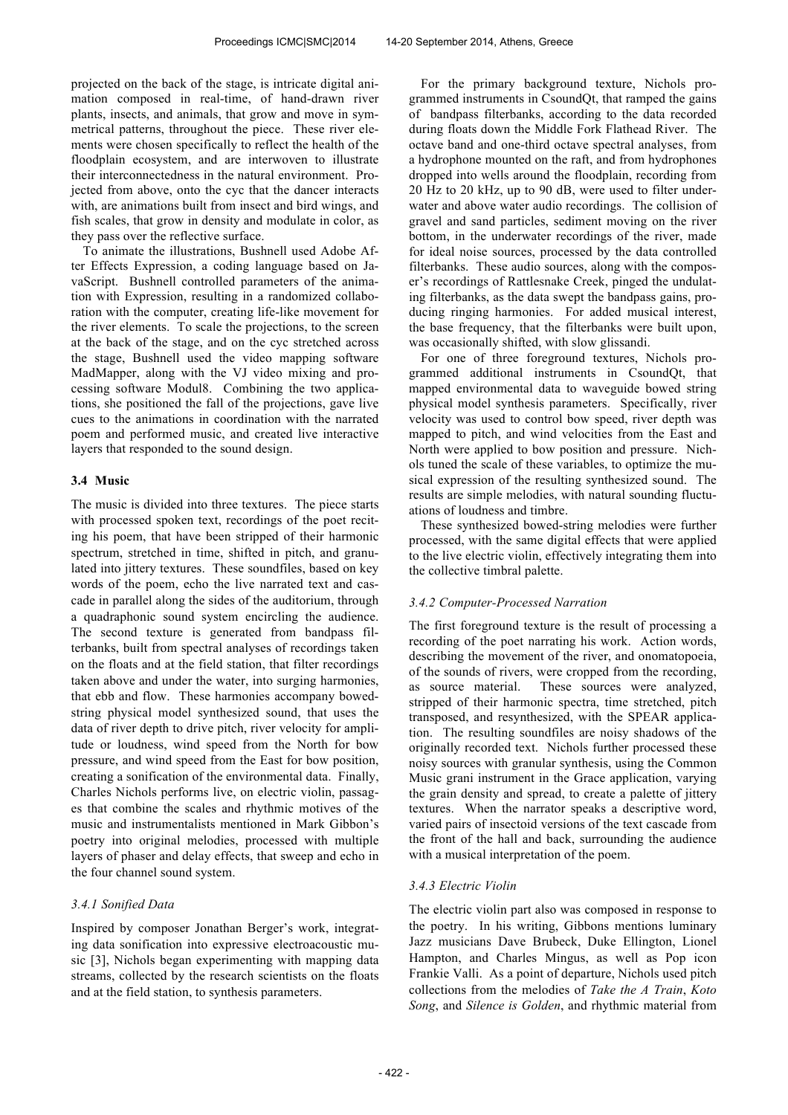projected on the back of the stage, is intricate digital animation composed in real-time, of hand-drawn river plants, insects, and animals, that grow and move in symmetrical patterns, throughout the piece. These river elements were chosen specifically to reflect the health of the floodplain ecosystem, and are interwoven to illustrate their interconnectedness in the natural environment. Projected from above, onto the cyc that the dancer interacts with, are animations built from insect and bird wings, and fish scales, that grow in density and modulate in color, as they pass over the reflective surface.

To animate the illustrations, Bushnell used Adobe After Effects Expression, a coding language based on JavaScript. Bushnell controlled parameters of the animation with Expression, resulting in a randomized collaboration with the computer, creating life-like movement for the river elements. To scale the projections, to the screen at the back of the stage, and on the cyc stretched across the stage, Bushnell used the video mapping software MadMapper, along with the VJ video mixing and processing software Modul8. Combining the two applications, she positioned the fall of the projections, gave live cues to the animations in coordination with the narrated poem and performed music, and created live interactive layers that responded to the sound design.

## **3.4 Music**

The music is divided into three textures. The piece starts with processed spoken text, recordings of the poet reciting his poem, that have been stripped of their harmonic spectrum, stretched in time, shifted in pitch, and granulated into jittery textures. These soundfiles, based on key words of the poem, echo the live narrated text and cascade in parallel along the sides of the auditorium, through a quadraphonic sound system encircling the audience. The second texture is generated from bandpass filterbanks, built from spectral analyses of recordings taken on the floats and at the field station, that filter recordings taken above and under the water, into surging harmonies, that ebb and flow. These harmonies accompany bowedstring physical model synthesized sound, that uses the data of river depth to drive pitch, river velocity for amplitude or loudness, wind speed from the North for bow pressure, and wind speed from the East for bow position, creating a sonification of the environmental data. Finally, Charles Nichols performs live, on electric violin, passages that combine the scales and rhythmic motives of the music and instrumentalists mentioned in Mark Gibbon's poetry into original melodies, processed with multiple layers of phaser and delay effects, that sweep and echo in the four channel sound system.

# *3.4.1 Sonified Data*

Inspired by composer Jonathan Berger's work, integrating data sonification into expressive electroacoustic music [3], Nichols began experimenting with mapping data streams, collected by the research scientists on the floats and at the field station, to synthesis parameters.

For the primary background texture, Nichols programmed instruments in CsoundQt, that ramped the gains of bandpass filterbanks, according to the data recorded during floats down the Middle Fork Flathead River. The octave band and one-third octave spectral analyses, from a hydrophone mounted on the raft, and from hydrophones dropped into wells around the floodplain, recording from 20 Hz to 20 kHz, up to 90 dB, were used to filter underwater and above water audio recordings. The collision of gravel and sand particles, sediment moving on the river bottom, in the underwater recordings of the river, made for ideal noise sources, processed by the data controlled filterbanks. These audio sources, along with the composer's recordings of Rattlesnake Creek, pinged the undulating filterbanks, as the data swept the bandpass gains, producing ringing harmonies. For added musical interest, the base frequency, that the filterbanks were built upon, was occasionally shifted, with slow glissandi.

For one of three foreground textures, Nichols programmed additional instruments in CsoundQt, that mapped environmental data to waveguide bowed string physical model synthesis parameters. Specifically, river velocity was used to control bow speed, river depth was mapped to pitch, and wind velocities from the East and North were applied to bow position and pressure. Nichols tuned the scale of these variables, to optimize the musical expression of the resulting synthesized sound. The results are simple melodies, with natural sounding fluctuations of loudness and timbre.

These synthesized bowed-string melodies were further processed, with the same digital effects that were applied to the live electric violin, effectively integrating them into the collective timbral palette.

### *3.4.2 Computer-Processed Narration*

The first foreground texture is the result of processing a recording of the poet narrating his work. Action words, describing the movement of the river, and onomatopoeia, of the sounds of rivers, were cropped from the recording, as source material. These sources were analyzed, stripped of their harmonic spectra, time stretched, pitch transposed, and resynthesized, with the SPEAR application. The resulting soundfiles are noisy shadows of the originally recorded text. Nichols further processed these noisy sources with granular synthesis, using the Common Music grani instrument in the Grace application, varying the grain density and spread, to create a palette of jittery textures. When the narrator speaks a descriptive word, varied pairs of insectoid versions of the text cascade from the front of the hall and back, surrounding the audience with a musical interpretation of the poem.

### *3.4.3 Electric Violin*

The electric violin part also was composed in response to the poetry. In his writing, Gibbons mentions luminary Jazz musicians Dave Brubeck, Duke Ellington, Lionel Hampton, and Charles Mingus, as well as Pop icon Frankie Valli. As a point of departure, Nichols used pitch collections from the melodies of *Take the A Train*, *Koto Song*, and *Silence is Golden*, and rhythmic material from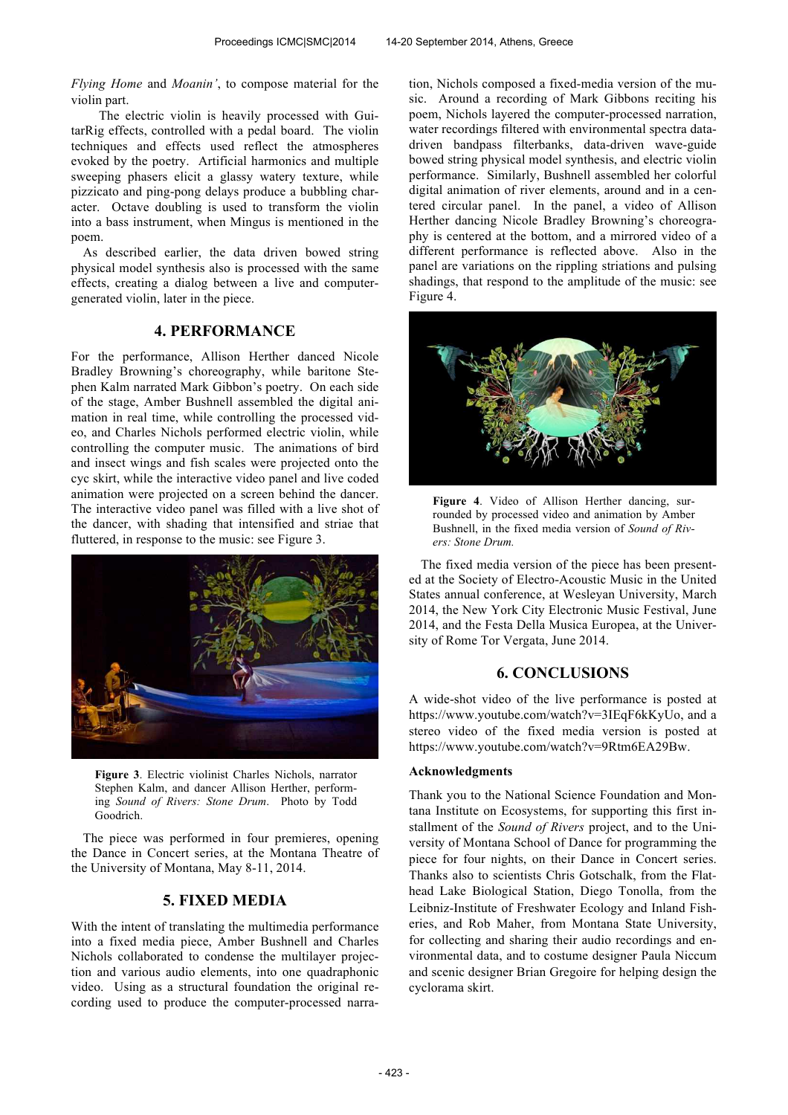*Flying Home* and *Moanin'*, to compose material for the violin part.

The electric violin is heavily processed with GuitarRig effects, controlled with a pedal board. The violin techniques and effects used reflect the atmospheres evoked by the poetry. Artificial harmonics and multiple sweeping phasers elicit a glassy watery texture, while pizzicato and ping-pong delays produce a bubbling character. Octave doubling is used to transform the violin into a bass instrument, when Mingus is mentioned in the poem.

As described earlier, the data driven bowed string physical model synthesis also is processed with the same effects, creating a dialog between a live and computergenerated violin, later in the piece.

## **4. PERFORMANCE**

For the performance, Allison Herther danced Nicole Bradley Browning's choreography, while baritone Stephen Kalm narrated Mark Gibbon's poetry. On each side of the stage, Amber Bushnell assembled the digital animation in real time, while controlling the processed video, and Charles Nichols performed electric violin, while controlling the computer music. The animations of bird and insect wings and fish scales were projected onto the cyc skirt, while the interactive video panel and live coded animation were projected on a screen behind the dancer. The interactive video panel was filled with a live shot of the dancer, with shading that intensified and striae that fluttered, in response to the music: see Figure 3.



**Figure 3**. Electric violinist Charles Nichols, narrator Stephen Kalm, and dancer Allison Herther, performing *Sound of Rivers: Stone Drum*. Photo by Todd Goodrich.

The piece was performed in four premieres, opening the Dance in Concert series, at the Montana Theatre of the University of Montana, May 8-11, 2014.

## **5. FIXED MEDIA**

With the intent of translating the multimedia performance into a fixed media piece, Amber Bushnell and Charles Nichols collaborated to condense the multilayer projection and various audio elements, into one quadraphonic video. Using as a structural foundation the original recording used to produce the computer-processed narration, Nichols composed a fixed-media version of the music. Around a recording of Mark Gibbons reciting his poem, Nichols layered the computer-processed narration, water recordings filtered with environmental spectra datadriven bandpass filterbanks, data-driven wave-guide bowed string physical model synthesis, and electric violin performance. Similarly, Bushnell assembled her colorful digital animation of river elements, around and in a centered circular panel. In the panel, a video of Allison Herther dancing Nicole Bradley Browning's choreography is centered at the bottom, and a mirrored video of a different performance is reflected above. Also in the panel are variations on the rippling striations and pulsing shadings, that respond to the amplitude of the music: see Figure 4.



**Figure 4**. Video of Allison Herther dancing, surrounded by processed video and animation by Amber Bushnell, in the fixed media version of *Sound of Rivers: Stone Drum.* 

The fixed media version of the piece has been presented at the Society of Electro-Acoustic Music in the United States annual conference, at Wesleyan University, March 2014, the New York City Electronic Music Festival, June 2014, and the Festa Della Musica Europea, at the University of Rome Tor Vergata, June 2014.

# **6. CONCLUSIONS**

A wide-shot video of the live performance is posted at https://www.youtube.com/watch?v=3IEqF6kKyUo, and a stereo video of the fixed media version is posted at https://www.youtube.com/watch?v=9Rtm6EA29Bw.

### **Acknowledgments**

Thank you to the National Science Foundation and Montana Institute on Ecosystems, for supporting this first installment of the *Sound of Rivers* project, and to the University of Montana School of Dance for programming the piece for four nights, on their Dance in Concert series. Thanks also to scientists Chris Gotschalk, from the Flathead Lake Biological Station, Diego Tonolla, from the Leibniz-Institute of Freshwater Ecology and Inland Fisheries, and Rob Maher, from Montana State University, for collecting and sharing their audio recordings and environmental data, and to costume designer Paula Niccum and scenic designer Brian Gregoire for helping design the cyclorama skirt.